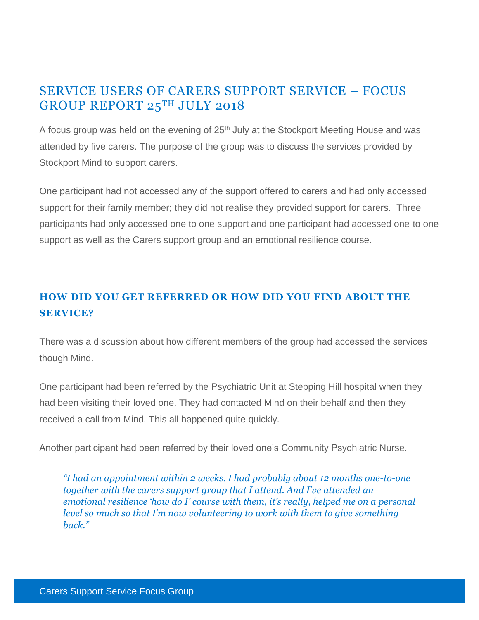# SERVICE USERS OF CARERS SUPPORT SERVICE – FOCUS GROUP REPORT 25TH JULY 2018

A focus group was held on the evening of 25<sup>th</sup> July at the Stockport Meeting House and was attended by five carers. The purpose of the group was to discuss the services provided by Stockport Mind to support carers.

One participant had not accessed any of the support offered to carers and had only accessed support for their family member; they did not realise they provided support for carers. Three participants had only accessed one to one support and one participant had accessed one to one support as well as the Carers support group and an emotional resilience course.

## **HOW DID YOU GET REFERRED OR HOW DID YOU FIND ABOUT THE SERVICE?**

There was a discussion about how different members of the group had accessed the services though Mind.

One participant had been referred by the Psychiatric Unit at Stepping Hill hospital when they had been visiting their loved one. They had contacted Mind on their behalf and then they received a call from Mind. This all happened quite quickly.

Another participant had been referred by their loved one's Community Psychiatric Nurse.

*"I had an appointment within 2 weeks. I had probably about 12 months one-to-one together with the carers support group that I attend. And I've attended an emotional resilience 'how do I' course with them, it's really, helped me on a personal level so much so that I'm now volunteering to work with them to give something back."*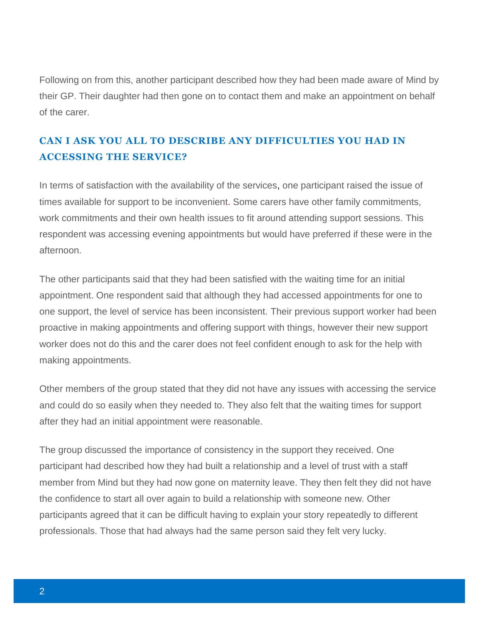Following on from this, another participant described how they had been made aware of Mind by their GP. Their daughter had then gone on to contact them and make an appointment on behalf of the carer.

## **CAN I ASK YOU ALL TO DESCRIBE ANY DIFFICULTIES YOU HAD IN ACCESSING THE SERVICE?**

In terms of satisfaction with the availability of the services, one participant raised the issue of times available for support to be inconvenient. Some carers have other family commitments, work commitments and their own health issues to fit around attending support sessions. This respondent was accessing evening appointments but would have preferred if these were in the afternoon.

The other participants said that they had been satisfied with the waiting time for an initial appointment. One respondent said that although they had accessed appointments for one to one support, the level of service has been inconsistent. Their previous support worker had been proactive in making appointments and offering support with things, however their new support worker does not do this and the carer does not feel confident enough to ask for the help with making appointments.

Other members of the group stated that they did not have any issues with accessing the service and could do so easily when they needed to. They also felt that the waiting times for support after they had an initial appointment were reasonable.

The group discussed the importance of consistency in the support they received. One participant had described how they had built a relationship and a level of trust with a staff member from Mind but they had now gone on maternity leave. They then felt they did not have the confidence to start all over again to build a relationship with someone new. Other participants agreed that it can be difficult having to explain your story repeatedly to different professionals. Those that had always had the same person said they felt very lucky.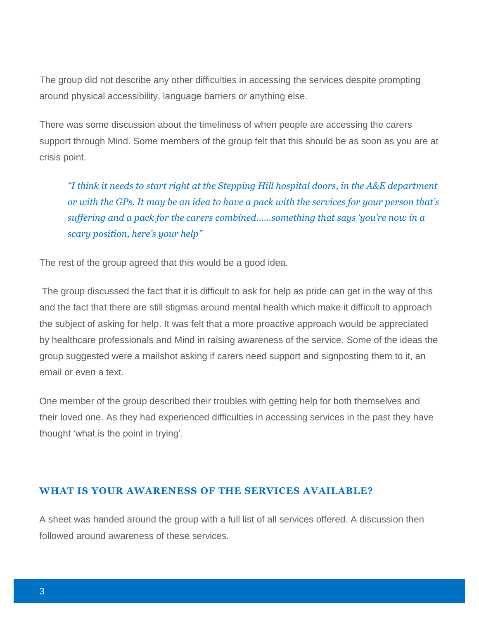The group did not describe any other difficulties in accessing the services despite prompting around physical accessibility, language barriers or anything else.

There was some discussion about the timeliness of when people are accessing the carers support through Mind. Some members of the group felt that this should be as soon as you are at crisis point.

*"I think it needs to start right at the Stepping Hill hospital doors, in the A&E department or with the GPs. It may be an idea to have a pack with the services for your person that's suffering and a pack for the carers combined……something that says 'you're now in a scary position, here's your help"*

The rest of the group agreed that this would be a good idea.

The group discussed the fact that it is difficult to ask for help as pride can get in the way of this and the fact that there are still stigmas around mental health which make it difficult to approach the subject of asking for help. It was felt that a more proactive approach would be appreciated by healthcare professionals and Mind in raising awareness of the service. Some of the ideas the group suggested were a mailshot asking if carers need support and signposting them to it, an email or even a text.

One member of the group described their troubles with getting help for both themselves and their loved one. As they had experienced difficulties in accessing services in the past they have thought 'what is the point in trying'.

#### **WHAT IS YOUR AWARENESS OF THE SERVICES AVAILABLE?**

A sheet was handed around the group with a full list of all services offered. A discussion then followed around awareness of these services.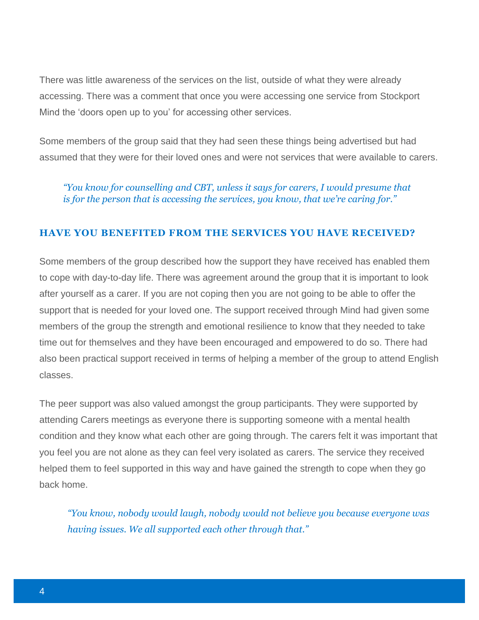There was little awareness of the services on the list, outside of what they were already accessing. There was a comment that once you were accessing one service from Stockport Mind the 'doors open up to you' for accessing other services.

Some members of the group said that they had seen these things being advertised but had assumed that they were for their loved ones and were not services that were available to carers.

*"You know for counselling and CBT, unless it says for carers, I would presume that is for the person that is accessing the services, you know, that we're caring for."*

#### **HAVE YOU BENEFITED FROM THE SERVICES YOU HAVE RECEIVED?**

Some members of the group described how the support they have received has enabled them to cope with day-to-day life. There was agreement around the group that it is important to look after yourself as a carer. If you are not coping then you are not going to be able to offer the support that is needed for your loved one. The support received through Mind had given some members of the group the strength and emotional resilience to know that they needed to take time out for themselves and they have been encouraged and empowered to do so. There had also been practical support received in terms of helping a member of the group to attend English classes.

The peer support was also valued amongst the group participants. They were supported by attending Carers meetings as everyone there is supporting someone with a mental health condition and they know what each other are going through. The carers felt it was important that you feel you are not alone as they can feel very isolated as carers. The service they received helped them to feel supported in this way and have gained the strength to cope when they go back home.

*"You know, nobody would laugh, nobody would not believe you because everyone was having issues. We all supported each other through that."*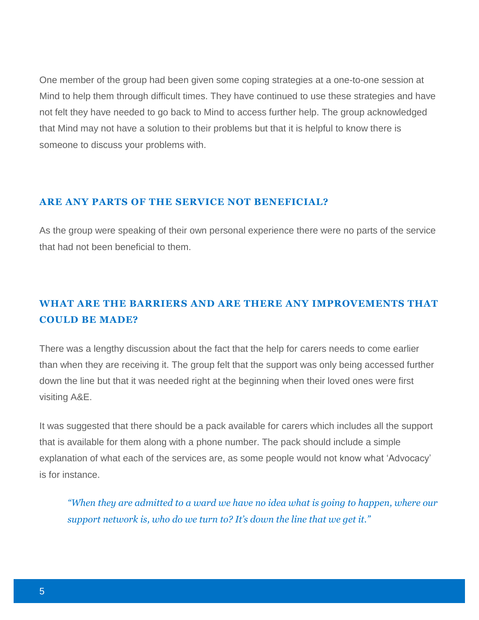One member of the group had been given some coping strategies at a one-to-one session at Mind to help them through difficult times. They have continued to use these strategies and have not felt they have needed to go back to Mind to access further help. The group acknowledged that Mind may not have a solution to their problems but that it is helpful to know there is someone to discuss your problems with.

### **ARE ANY PARTS OF THE SERVICE NOT BENEFICIAL?**

As the group were speaking of their own personal experience there were no parts of the service that had not been beneficial to them.

### **WHAT ARE THE BARRIERS AND ARE THERE ANY IMPROVEMENTS THAT COULD BE MADE?**

There was a lengthy discussion about the fact that the help for carers needs to come earlier than when they are receiving it. The group felt that the support was only being accessed further down the line but that it was needed right at the beginning when their loved ones were first visiting A&E.

It was suggested that there should be a pack available for carers which includes all the support that is available for them along with a phone number. The pack should include a simple explanation of what each of the services are, as some people would not know what 'Advocacy' is for instance.

*"When they are admitted to a ward we have no idea what is going to happen, where our support network is, who do we turn to? It's down the line that we get it."*